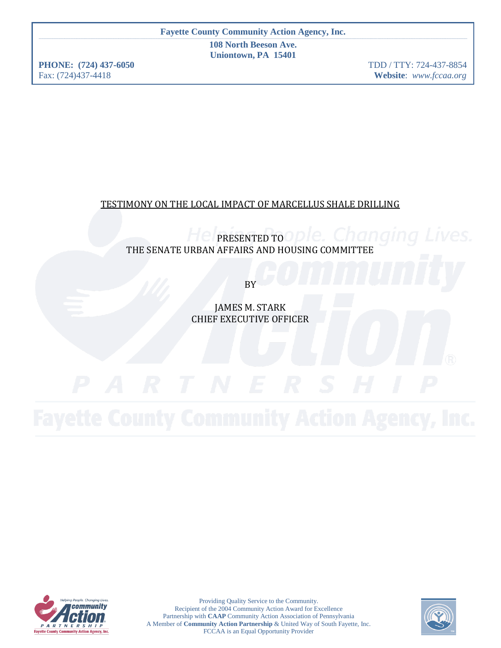**108 North Beeson Ave. Uniontown, PA 15401**

**PHONE: (724) 437-6050** TDD / TTY: 724-437-8854 Fax: (724)437-4418 **Website**: *www.fccaa.org*

# TESTIMONY ON THE LOCAL IMPACT OF MARCELLUS SHALE DRILLING

**HelpRESENTED TO OPle.** Changing Lives. THE SENATE URBAN AFFAIRS AND HOUSING COMMITTEE

BY

JAMES M. STARK CHIEF EXECUTIVE OFFICER



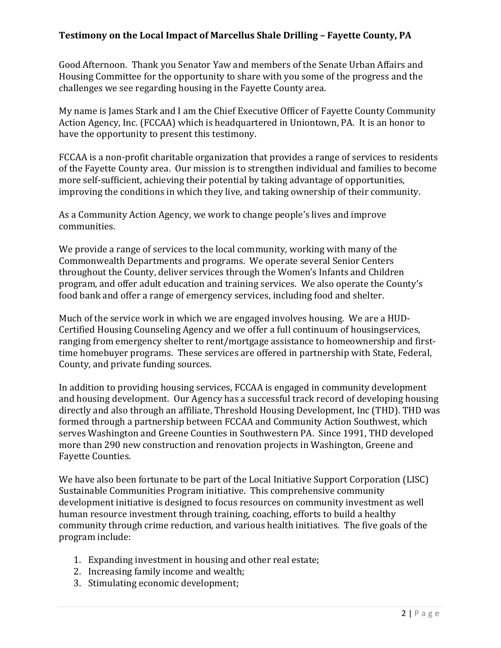Good Afternoon. Thank you Senator Yaw and members of the Senate Urban Affairs and Housing Committee for the opportunity to share with you some of the progress and the challenges we see regarding housing in the Fayette County area.

My name is James Stark and I am the Chief Executive Officer of Fayette County Community Action Agency, Inc. (FCCAA) which is headquartered in Uniontown, PA. It is an honor to have the opportunity to present this testimony.

FCCAA is a non-profit charitable organization that provides a range of services to residents of the Fayette County area. Our mission is to strengthen individual and families to become more self-sufficient, achieving their potential by taking advantage of opportunities, improving the conditions in which they live, and taking ownership of their community.

As a Community Action Agency, we work to change people's lives and improve communities.

We provide a range of services to the local community, working with many of the Commonwealth Departments and programs. We operate several Senior Centers throughout the County, deliver services through the Women's Infants and Children program, and offer adult education and training services. We also operate the County's food bank and offer a range of emergency services, including food and shelter.

Much of the service work in which we are engaged involves housing. We are a HUD-Certified Housing Counseling Agency and we offer a full continuum of housingservices, ranging from emergency shelter to rent/mortgage assistance to homeownership and firsttime homebuyer programs. These services are offered in partnership with State, Federal, County, and private funding sources.

In addition to providing housing services, FCCAA is engaged in community development and housing development. Our Agency has a successful track record of developing housing directly and also through an affiliate, Threshold Housing Development, Inc (THD). THD was formed through a partnership between FCCAA and Community Action Southwest, which serves Washington and Greene Counties in Southwestern PA. Since 1991, THD developed more than 290 new construction and renovation projects in Washington, Greene and Fayette Counties.

We have also been fortunate to be part of the Local Initiative Support Corporation (LISC) Sustainable Communities Program initiative. This comprehensive community development initiative is designed to focus resources on community investment as well human resource investment through training, coaching, efforts to build a healthy community through crime reduction, and various health initiatives. The five goals of the program include:

- 1. Expanding investment in housing and other real estate;
- 2. Increasing family income and wealth;
- 3. Stimulating economic development;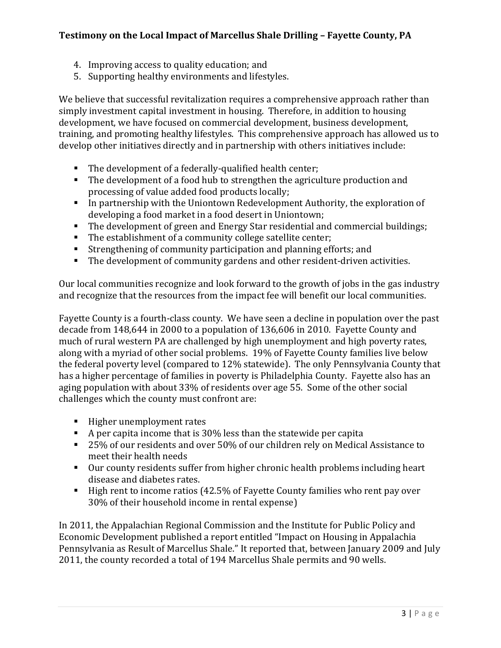- 4. Improving access to quality education; and
- 5. Supporting healthy environments and lifestyles.

We believe that successful revitalization requires a comprehensive approach rather than simply investment capital investment in housing. Therefore, in addition to housing development, we have focused on commercial development, business development, training, and promoting healthy lifestyles. This comprehensive approach has allowed us to develop other initiatives directly and in partnership with others initiatives include:

- The development of a federally-qualified health center;
- The development of a food hub to strengthen the agriculture production and processing of value added food products locally;
- In partnership with the Uniontown Redevelopment Authority, the exploration of developing a food market in a food desert in Uniontown;
- The development of green and Energy Star residential and commercial buildings;
- The establishment of a community college satellite center;
- Strengthening of community participation and planning efforts; and
- The development of community gardens and other resident-driven activities.

Our local communities recognize and look forward to the growth of jobs in the gas industry and recognize that the resources from the impact fee will benefit our local communities.

Fayette County is a fourth-class county. We have seen a decline in population over the past decade from 148,644 in 2000 to a population of 136,606 in 2010. Fayette County and much of rural western PA are challenged by high unemployment and high poverty rates, along with a myriad of other social problems. 19% of Fayette County families live below the federal poverty level (compared to 12% statewide). The only Pennsylvania County that has a higher percentage of families in poverty is Philadelphia County. Fayette also has an aging population with about 33% of residents over age 55. Some of the other social challenges which the county must confront are:

- Higher unemployment rates
- A per capita income that is  $30\%$  less than the statewide per capita
- 25% of our residents and over 50% of our children rely on Medical Assistance to meet their health needs
- Our county residents suffer from higher chronic health problems including heart disease and diabetes rates.
- High rent to income ratios (42.5% of Fayette County families who rent pay over 30% of their household income in rental expense)

In 2011, the Appalachian Regional Commission and the Institute for Public Policy and Economic Development published a report entitled "Impact on Housing in Appalachia Pennsylvania as Result of Marcellus Shale." It reported that, between January 2009 and July 2011, the county recorded a total of 194 Marcellus Shale permits and 90 wells.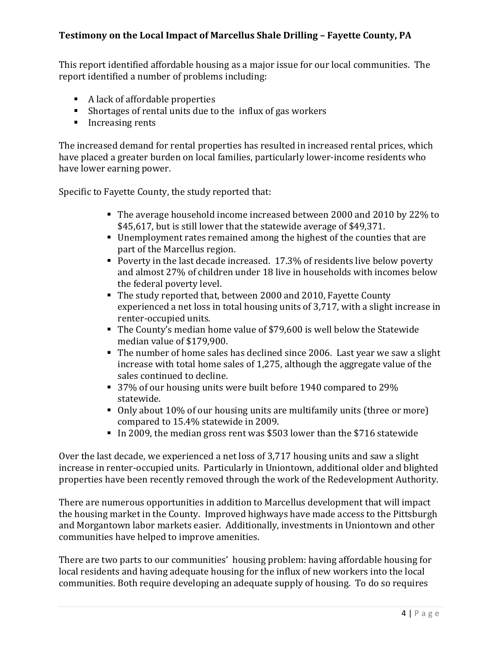This report identified affordable housing as a major issue for our local communities. The report identified a number of problems including:

- A lack of affordable properties
- Shortages of rental units due to the influx of gas workers
- **Increasing rents**

The increased demand for rental properties has resulted in increased rental prices, which have placed a greater burden on local families, particularly lower-income residents who have lower earning power.

Specific to Fayette County, the study reported that:

- The average household income increased between 2000 and 2010 by 22% to \$45,617, but is still lower that the statewide average of \$49,371.
- Unemployment rates remained among the highest of the counties that are part of the Marcellus region.
- Poverty in the last decade increased. 17.3% of residents live below poverty and almost 27% of children under 18 live in households with incomes below the federal poverty level.
- The study reported that, between 2000 and 2010, Fayette County experienced a net loss in total housing units of 3,717, with a slight increase in renter-occupied units.
- The County's median home value of \$79,600 is well below the Statewide median value of \$179,900.
- The number of home sales has declined since 2006. Last year we saw a slight increase with total home sales of 1,275, although the aggregate value of the sales continued to decline.
- 37% of our housing units were built before 1940 compared to 29% statewide.
- Only about 10% of our housing units are multifamily units (three or more) compared to 15.4% statewide in 2009.
- In 2009, the median gross rent was \$503 lower than the \$716 statewide

Over the last decade, we experienced a net loss of 3,717 housing units and saw a slight increase in renter-occupied units. Particularly in Uniontown, additional older and blighted properties have been recently removed through the work of the Redevelopment Authority.

There are numerous opportunities in addition to Marcellus development that will impact the housing market in the County. Improved highways have made access to the Pittsburgh and Morgantown labor markets easier. Additionally, investments in Uniontown and other communities have helped to improve amenities.

There are two parts to our communities' housing problem: having affordable housing for local residents and having adequate housing for the influx of new workers into the local communities. Both require developing an adequate supply of housing. To do so requires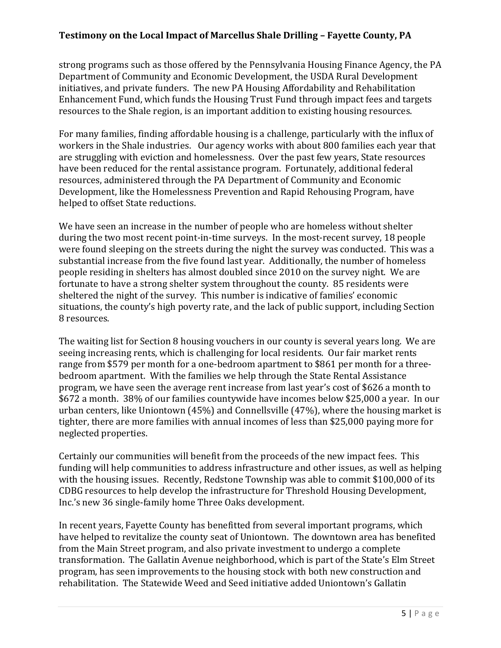strong programs such as those offered by the Pennsylvania Housing Finance Agency, the PA Department of Community and Economic Development, the USDA Rural Development initiatives, and private funders. The new PA Housing Affordability and Rehabilitation Enhancement Fund, which funds the Housing Trust Fund through impact fees and targets resources to the Shale region, is an important addition to existing housing resources.

For many families, finding affordable housing is a challenge, particularly with the influx of workers in the Shale industries. Our agency works with about 800 families each year that are struggling with eviction and homelessness. Over the past few years, State resources have been reduced for the rental assistance program. Fortunately, additional federal resources, administered through the PA Department of Community and Economic Development, like the Homelessness Prevention and Rapid Rehousing Program, have helped to offset State reductions.

We have seen an increase in the number of people who are homeless without shelter during the two most recent point-in-time surveys. In the most-recent survey, 18 people were found sleeping on the streets during the night the survey was conducted. This was a substantial increase from the five found last year. Additionally, the number of homeless people residing in shelters has almost doubled since 2010 on the survey night. We are fortunate to have a strong shelter system throughout the county. 85 residents were sheltered the night of the survey. This number is indicative of families' economic situations, the county's high poverty rate, and the lack of public support, including Section 8 resources.

The waiting list for Section 8 housing vouchers in our county is several years long. We are seeing increasing rents, which is challenging for local residents. Our fair market rents range from \$579 per month for a one-bedroom apartment to \$861 per month for a threebedroom apartment. With the families we help through the State Rental Assistance program, we have seen the average rent increase from last year's cost of \$626 a month to \$672 a month. 38% of our families countywide have incomes below \$25,000 a year. In our urban centers, like Uniontown (45%) and Connellsville (47%), where the housing market is tighter, there are more families with annual incomes of less than \$25,000 paying more for neglected properties.

Certainly our communities will benefit from the proceeds of the new impact fees. This funding will help communities to address infrastructure and other issues, as well as helping with the housing issues. Recently, Redstone Township was able to commit \$100,000 of its CDBG resources to help develop the infrastructure for Threshold Housing Development, Inc.'s new 36 single-family home Three Oaks development.

In recent years, Fayette County has benefitted from several important programs, which have helped to revitalize the county seat of Uniontown. The downtown area has benefited from the Main Street program, and also private investment to undergo a complete transformation. The Gallatin Avenue neighborhood, which is part of the State's Elm Street program, has seen improvements to the housing stock with both new construction and rehabilitation. The Statewide Weed and Seed initiative added Uniontown's Gallatin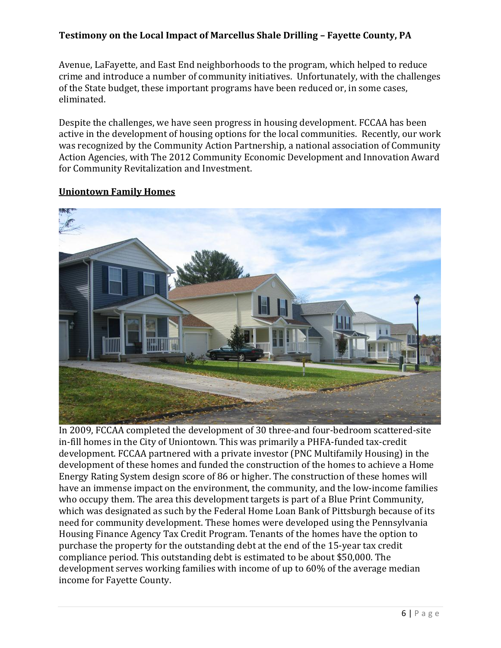Avenue, LaFayette, and East End neighborhoods to the program, which helped to reduce crime and introduce a number of community initiatives. Unfortunately, with the challenges of the State budget, these important programs have been reduced or, in some cases, eliminated.

Despite the challenges, we have seen progress in housing development. FCCAA has been active in the development of housing options for the local communities. Recently, our work was recognized by the Community Action Partnership, a national association of Community Action Agencies, with The 2012 Community Economic Development and Innovation Award for Community Revitalization and Investment.

#### **Uniontown Family Homes**



In 2009, FCCAA completed the development of 30 three-and four-bedroom scattered-site in-fill homes in the City of Uniontown. This was primarily a PHFA-funded tax-credit development. FCCAA partnered with a private investor (PNC Multifamily Housing) in the development of these homes and funded the construction of the homes to achieve a Home Energy Rating System design score of 86 or higher. The construction of these homes will have an immense impact on the environment, the community, and the low-income families who occupy them. The area this development targets is part of a Blue Print Community, which was designated as such by the Federal Home Loan Bank of Pittsburgh because of its need for community development. These homes were developed using the Pennsylvania Housing Finance Agency Tax Credit Program. Tenants of the homes have the option to purchase the property for the outstanding debt at the end of the 15-year tax credit compliance period. This outstanding debt is estimated to be about \$50,000. The development serves working families with income of up to 60% of the average median income for Fayette County.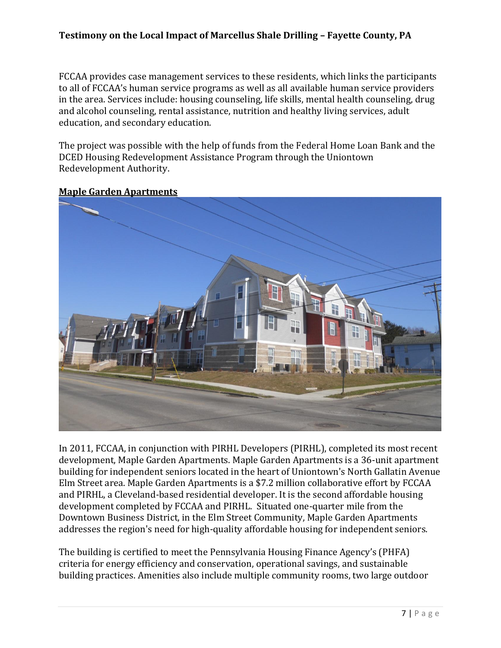FCCAA provides case management services to these residents, which links the participants to all of FCCAA's human service programs as well as all available human service providers in the area. Services include: housing counseling, life skills, mental health counseling, drug and alcohol counseling, rental assistance, nutrition and healthy living services, adult education, and secondary education.

The project was possible with the help of funds from the Federal Home Loan Bank and the DCED Housing Redevelopment Assistance Program through the Uniontown Redevelopment Authority.



#### **Maple Garden Apartments**

In 2011, FCCAA, in conjunction with PIRHL Developers (PIRHL), completed its most recent development, Maple Garden Apartments. Maple Garden Apartments is a 36-unit apartment building for independent seniors located in the heart of Uniontown's North Gallatin Avenue Elm Street area. Maple Garden Apartments is a \$7.2 million collaborative effort by FCCAA and PIRHL, a Cleveland-based residential developer. It is the second affordable housing development completed by FCCAA and PIRHL. Situated one-quarter mile from the Downtown Business District, in the Elm Street Community, Maple Garden Apartments addresses the region's need for high-quality affordable housing for independent seniors.

The building is certified to meet the Pennsylvania Housing Finance Agency's (PHFA) criteria for energy efficiency and conservation, operational savings, and sustainable building practices. Amenities also include multiple community rooms, two large outdoor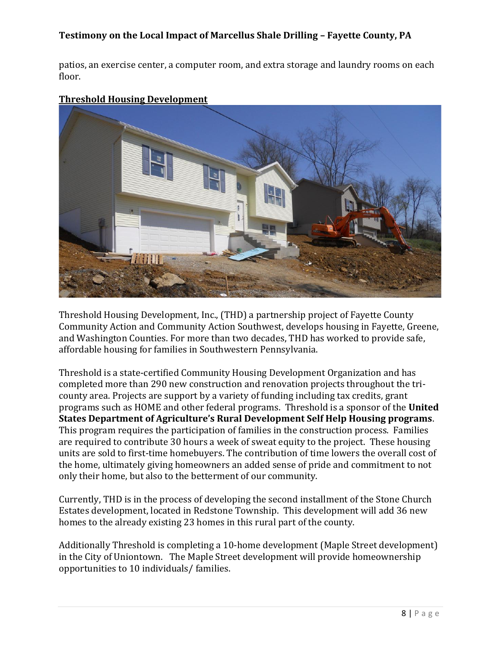patios, an exercise center, a computer room, and extra storage and laundry rooms on each floor.



#### **Threshold Housing Development**

Threshold Housing Development, Inc., (THD) a partnership project of Fayette County Community Action and Community Action Southwest, develops housing in Fayette, Greene, and Washington Counties. For more than two decades, THD has worked to provide safe, affordable housing for families in Southwestern Pennsylvania.

Threshold is a state-certified Community Housing Development Organization and has completed more than 290 new construction and renovation projects throughout the tricounty area. Projects are support by a variety of funding including tax credits, grant programs such as HOME and other federal programs. Threshold is a sponsor of the **United States Department of Agriculture's Rural Development Self Help Housing programs**. This program requires the participation of families in the construction process. Families are required to contribute 30 hours a week of sweat equity to the project. These housing units are sold to first-time homebuyers. The contribution of time lowers the overall cost of the home, ultimately giving homeowners an added sense of pride and commitment to not only their home, but also to the betterment of our community.

Currently, THD is in the process of developing the second installment of the Stone Church Estates development, located in Redstone Township. This development will add 36 new homes to the already existing 23 homes in this rural part of the county.

Additionally Threshold is completing a 10-home development (Maple Street development) in the City of Uniontown. The Maple Street development will provide homeownership opportunities to 10 individuals/ families.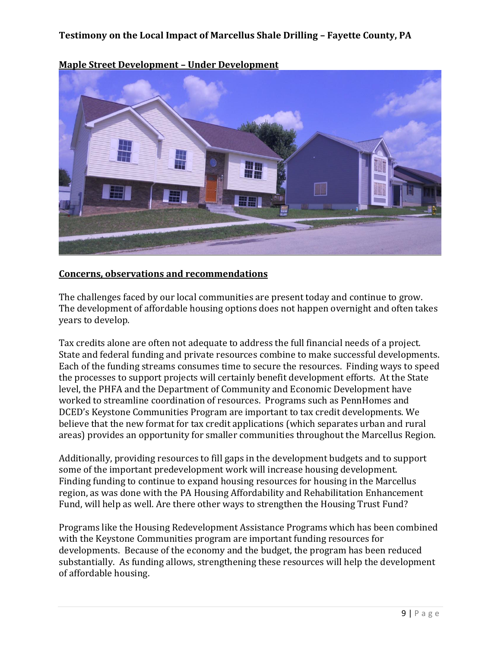

**Maple Street Development – Under Development**

#### **Concerns, observations and recommendations**

The challenges faced by our local communities are present today and continue to grow. The development of affordable housing options does not happen overnight and often takes years to develop.

Tax credits alone are often not adequate to address the full financial needs of a project. State and federal funding and private resources combine to make successful developments. Each of the funding streams consumes time to secure the resources. Finding ways to speed the processes to support projects will certainly benefit development efforts. At the State level, the PHFA and the Department of Community and Economic Development have worked to streamline coordination of resources. Programs such as PennHomes and DCED's Keystone Communities Program are important to tax credit developments. We believe that the new format for tax credit applications (which separates urban and rural areas) provides an opportunity for smaller communities throughout the Marcellus Region.

Additionally, providing resources to fill gaps in the development budgets and to support some of the important predevelopment work will increase housing development. Finding funding to continue to expand housing resources for housing in the Marcellus region, as was done with the PA Housing Affordability and Rehabilitation Enhancement Fund, will help as well. Are there other ways to strengthen the Housing Trust Fund?

Programs like the Housing Redevelopment Assistance Programs which has been combined with the Keystone Communities program are important funding resources for developments. Because of the economy and the budget, the program has been reduced substantially. As funding allows, strengthening these resources will help the development of affordable housing.